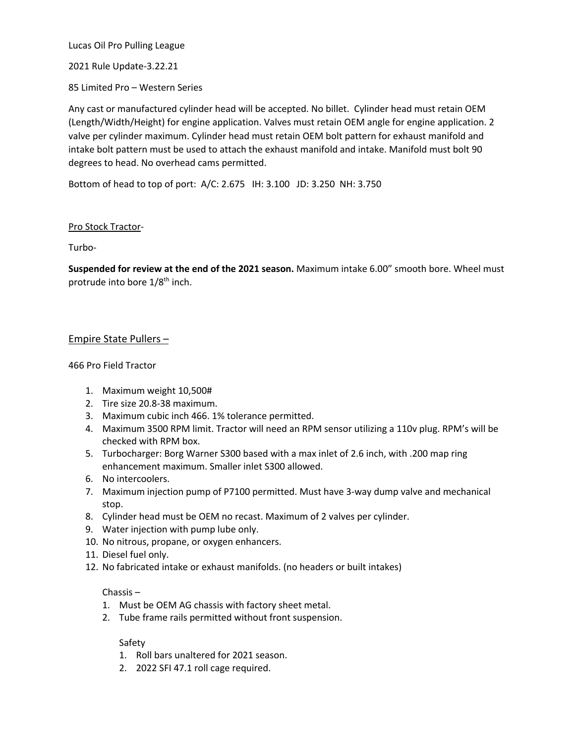Lucas Oil Pro Pulling League

2021 Rule Update-3.22.21

85 Limited Pro – Western Series

Any cast or manufactured cylinder head will be accepted. No billet. Cylinder head must retain OEM (Length/Width/Height) for engine application. Valves must retain OEM angle for engine application. 2 valve per cylinder maximum. Cylinder head must retain OEM bolt pattern for exhaust manifold and intake bolt pattern must be used to attach the exhaust manifold and intake. Manifold must bolt 90 degrees to head. No overhead cams permitted.

Bottom of head to top of port: A/C: 2.675 IH: 3.100 JD: 3.250 NH: 3.750

# Pro Stock Tractor-

Turbo-

**Suspended for review at the end of the 2021 season.** Maximum intake 6.00" smooth bore. Wheel must protrude into bore 1/8<sup>th</sup> inch.

# Empire State Pullers –

## 466 Pro Field Tractor

- 1. Maximum weight 10,500#
- 2. Tire size 20.8-38 maximum.
- 3. Maximum cubic inch 466. 1% tolerance permitted.
- 4. Maximum 3500 RPM limit. Tractor will need an RPM sensor utilizing a 110v plug. RPM's will be checked with RPM box.
- 5. Turbocharger: Borg Warner S300 based with a max inlet of 2.6 inch, with .200 map ring enhancement maximum. Smaller inlet S300 allowed.
- 6. No intercoolers.
- 7. Maximum injection pump of P7100 permitted. Must have 3-way dump valve and mechanical stop.
- 8. Cylinder head must be OEM no recast. Maximum of 2 valves per cylinder.
- 9. Water injection with pump lube only.
- 10. No nitrous, propane, or oxygen enhancers.
- 11. Diesel fuel only.
- 12. No fabricated intake or exhaust manifolds. (no headers or built intakes)

## Chassis –

- 1. Must be OEM AG chassis with factory sheet metal.
- 2. Tube frame rails permitted without front suspension.

## Safety

- 1. Roll bars unaltered for 2021 season.
- 2. 2022 SFI 47.1 roll cage required.